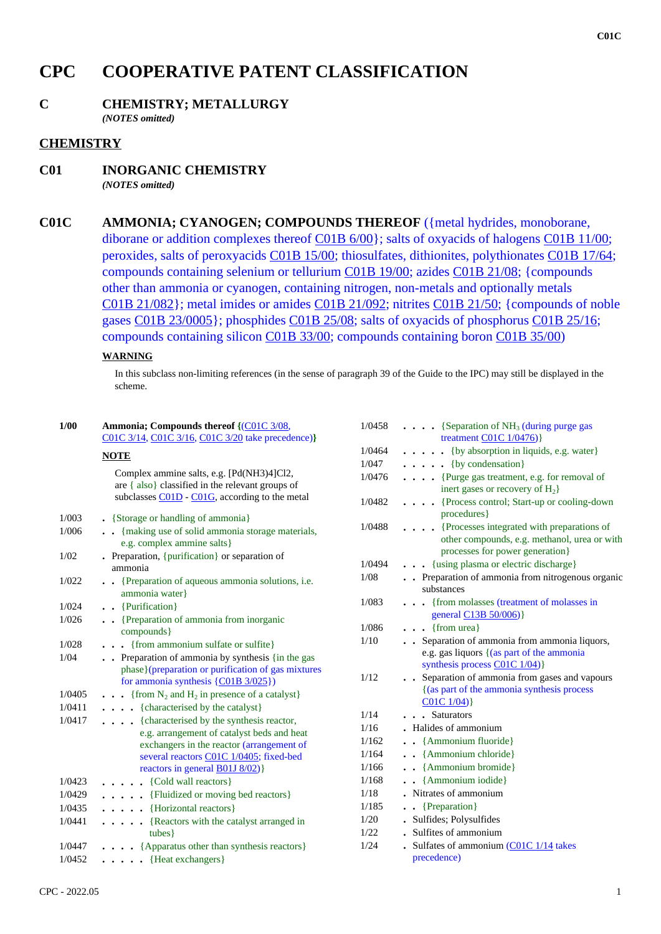# **CPC COOPERATIVE PATENT CLASSIFICATION**

## **C CHEMISTRY; METALLURGY**

*(NOTES omitted)*

### **CHEMISTRY**

- **C01 INORGANIC CHEMISTRY** *(NOTES omitted)*
- **C01C AMMONIA; CYANOGEN; COMPOUNDS THEREOF** ({metal hydrides, monoborane, diborane or addition complexes thereof C01B 6/00}; salts of oxyacids of halogens C01B 11/00; peroxides, salts of peroxyacids C01B 15/00; thiosulfates, dithionites, polythionates C01B 17/64; compounds containing selenium or tellurium C01B 19/00; azides C01B 21/08; {compounds other than ammonia or cyanogen, containing nitrogen, non-metals and optionally metals C01B 21/082}; metal imides or amides C01B 21/092; nitrites C01B 21/50; {compounds of noble gases C01B 23/0005}; phosphides C01B 25/08; salts of oxyacids of phosphorus C01B 25/16; compounds containing silicon C01B 33/00; compounds containing boron C01B 35/00)

#### **WARNING**

 **1/00 Ammonia; Compounds thereof {**(C01C 3/08,

In this subclass non-limiting references (in the sense of paragraph 39 of the Guide to the IPC) may still be displayed in the scheme.

| 1/VV   | Animonia; Compounus mereor <u>((COTC 3/08</u> ,<br>C01C 3/14, C01C 3/16, C01C 3/20 take precedence)}                                                                                                                        |
|--------|-----------------------------------------------------------------------------------------------------------------------------------------------------------------------------------------------------------------------------|
|        | <b>NOTE</b>                                                                                                                                                                                                                 |
|        | Complex ammine salts, e.g. [Pd(NH3)4]Cl2,<br>are { also } classified in the relevant groups of<br>subclasses C01D - C01G, according to the metal                                                                            |
| 1/003  | • {Storage or handling of ammonia}                                                                                                                                                                                          |
| 1/006  | . {making use of solid ammonia storage materials,<br>e.g. complex ammine salts}                                                                                                                                             |
| 1/02   | . Preparation, {purification} or separation of<br>ammonia                                                                                                                                                                   |
| 1/022  | {Preparation of aqueous ammonia solutions, <i>i.e.</i><br>$\ddotsc$<br>ammonia water}                                                                                                                                       |
| 1/024  | . . {Purification}                                                                                                                                                                                                          |
| 1/026  | . Preparation of ammonia from inorganic<br>compounds }                                                                                                                                                                      |
| 1/028  | {from ammonium sulfate or sulfite}<br>. .                                                                                                                                                                                   |
| 1/04   | Preparation of ammonia by synthesis {in the gas<br>$\ddot{\phantom{0}}$<br>phase}(preparation or purification of gas mixtures<br>for ammonia synthesis $\{ \text{\textcircled{C01B}} \, 3/025 \}$                           |
| 1/0405 | $\ldots$ {from N <sub>2</sub> and H <sub>2</sub> in presence of a catalyst}                                                                                                                                                 |
| 1/0411 | . {characterised by the catalyst}                                                                                                                                                                                           |
| 1/0417 | . {characterised by the synthesis reactor,<br>e.g. arrangement of catalyst beds and heat<br>exchangers in the reactor (arrangement of<br>several reactors C01C 1/0405; fixed-bed<br>reactors in general <b>B01J 8/02</b> )} |
| 1/0423 | $\ldots$ (Cold wall reactors)                                                                                                                                                                                               |
| 1/0429 | {Fluidized or moving bed reactors}                                                                                                                                                                                          |
| 1/0435 | {Horizontal reactors}<br>$\cdots$                                                                                                                                                                                           |
| 1/0441 | {Reactors with the catalyst arranged in<br>.<br>tubes }                                                                                                                                                                     |
| 1/0447 | . {Apparatus other than synthesis reactors}                                                                                                                                                                                 |
| 1/0452 | • {Heat exchangers}<br>$\bullet$                                                                                                                                                                                            |

| 1/0458 | • {Separation of $NH3$ (during purge gas                                                                                      |
|--------|-------------------------------------------------------------------------------------------------------------------------------|
|        | treatment $CO1C$ $1/0476$ }                                                                                                   |
| 1/0464 | {by absorption in liquids, e.g. water}                                                                                        |
| 1/047  | {by condensation}<br>$\ddot{\phantom{a}}$                                                                                     |
| 1/0476 | {Purge gas treatment, e.g. for removal of<br>.<br>inert gases or recovery of H <sub>2</sub> }                                 |
| 1/0482 | {Process control; Start-up or cooling-down<br>procedures }                                                                    |
| 1/0488 | {Processes integrated with preparations of<br>other compounds, e.g. methanol, urea or with<br>processes for power generation} |
| 1/0494 | {using plasma or electric discharge}                                                                                          |
| 1/08   | . Preparation of ammonia from nitrogenous organic<br>substances                                                               |
| 1/083  | {from molasses (treatment of molasses in<br>general C13B 50/006)}                                                             |
| 1/086  | {from urea}                                                                                                                   |
| 1/10   | . Separation of ammonia from ammonia liquors,<br>e.g. gas liquors { (as part of the ammonia<br>synthesis process C01C 1/04)}  |
| 1/12   | Separation of ammonia from gases and vapours<br>{(as part of the ammonia synthesis process<br>$CO1C$ $1/04)$ }                |
| 1/14   | <b>Saturators</b>                                                                                                             |
| 1/16   | Halides of ammonium                                                                                                           |
| 1/162  | {Ammonium fluoride}<br>$\ddot{\phantom{0}}$                                                                                   |
| 1/164  | • {Ammonium chloride}                                                                                                         |
| 1/166  | • {Ammonium bromide}                                                                                                          |
| 1/168  | • {Ammonium iodide}                                                                                                           |
| 1/18   | Nitrates of ammonium                                                                                                          |
| 1/185  | {Preparation}<br>$\bullet$                                                                                                    |
| 1/20   | Sulfides; Polysulfides                                                                                                        |
| 1/22   | Sulfites of ammonium                                                                                                          |
| 1/24   | Sulfates of ammonium (C01C 1/14 takes<br>precedence)                                                                          |